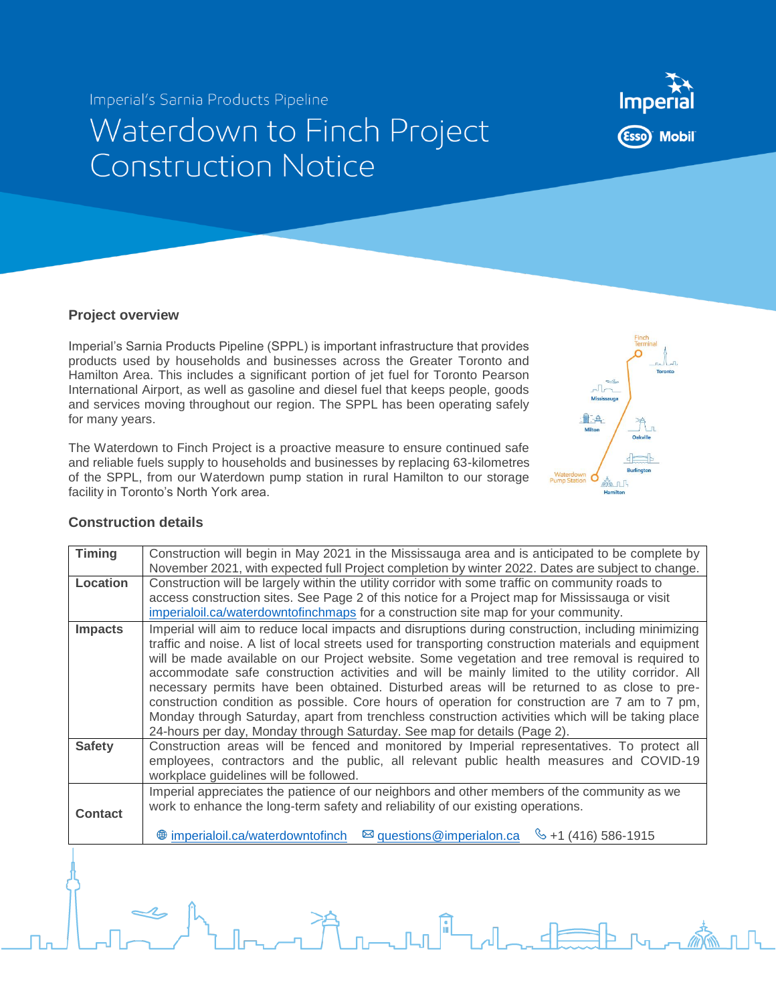Imperial's Sarnia Products Pipeline

## Waterdown to Finch Project **Construction Notice**



Imperial's Sarnia Products Pipeline (SPPL) is important infrastructure that provides products used by households and businesses across the Greater Toronto and Hamilton Area. This includes a significant portion of jet fuel for Toronto Pearson International Airport, as well as gasoline and diesel fuel that keeps people, goods and services moving throughout our region. The SPPL has been operating safely for many years.

The Waterdown to Finch Project is a proactive measure to ensure continued safe and reliable fuels supply to households and businesses by replacing 63-kilometres of the SPPL, from our Waterdown pump station in rural Hamilton to our storage facility in Toronto's North York area.



## **Construction details**

| <b>Timing</b>  | Construction will begin in May 2021 in the Mississauga area and is anticipated to be complete by<br>November 2021, with expected full Project completion by winter 2022. Dates are subject to change.                                                                                                                                                                                                                                                                                                                                                                                                                                                                                                                                                                                               |
|----------------|-----------------------------------------------------------------------------------------------------------------------------------------------------------------------------------------------------------------------------------------------------------------------------------------------------------------------------------------------------------------------------------------------------------------------------------------------------------------------------------------------------------------------------------------------------------------------------------------------------------------------------------------------------------------------------------------------------------------------------------------------------------------------------------------------------|
| Location       | Construction will be largely within the utility corridor with some traffic on community roads to                                                                                                                                                                                                                                                                                                                                                                                                                                                                                                                                                                                                                                                                                                    |
|                | access construction sites. See Page 2 of this notice for a Project map for Mississauga or visit                                                                                                                                                                                                                                                                                                                                                                                                                                                                                                                                                                                                                                                                                                     |
|                | imperialoil.ca/waterdowntofinchmaps for a construction site map for your community.                                                                                                                                                                                                                                                                                                                                                                                                                                                                                                                                                                                                                                                                                                                 |
| <b>Impacts</b> | Imperial will aim to reduce local impacts and disruptions during construction, including minimizing<br>traffic and noise. A list of local streets used for transporting construction materials and equipment<br>will be made available on our Project website. Some vegetation and tree removal is required to<br>accommodate safe construction activities and will be mainly limited to the utility corridor. All<br>necessary permits have been obtained. Disturbed areas will be returned to as close to pre-<br>construction condition as possible. Core hours of operation for construction are 7 am to 7 pm,<br>Monday through Saturday, apart from trenchless construction activities which will be taking place<br>24-hours per day, Monday through Saturday. See map for details (Page 2). |
| <b>Safety</b>  | Construction areas will be fenced and monitored by Imperial representatives. To protect all<br>employees, contractors and the public, all relevant public health measures and COVID-19<br>workplace guidelines will be followed.                                                                                                                                                                                                                                                                                                                                                                                                                                                                                                                                                                    |
| <b>Contact</b> | Imperial appreciates the patience of our neighbors and other members of the community as we<br>work to enhance the long-term safety and reliability of our existing operations.<br>⊠ questions@imperialon.ca<br><b><sup>●</sup></b> imperialoil.ca/waterdowntofinch<br>$\frac{6}{5}$ +1 (416) 586-1915                                                                                                                                                                                                                                                                                                                                                                                                                                                                                              |
|                |                                                                                                                                                                                                                                                                                                                                                                                                                                                                                                                                                                                                                                                                                                                                                                                                     |